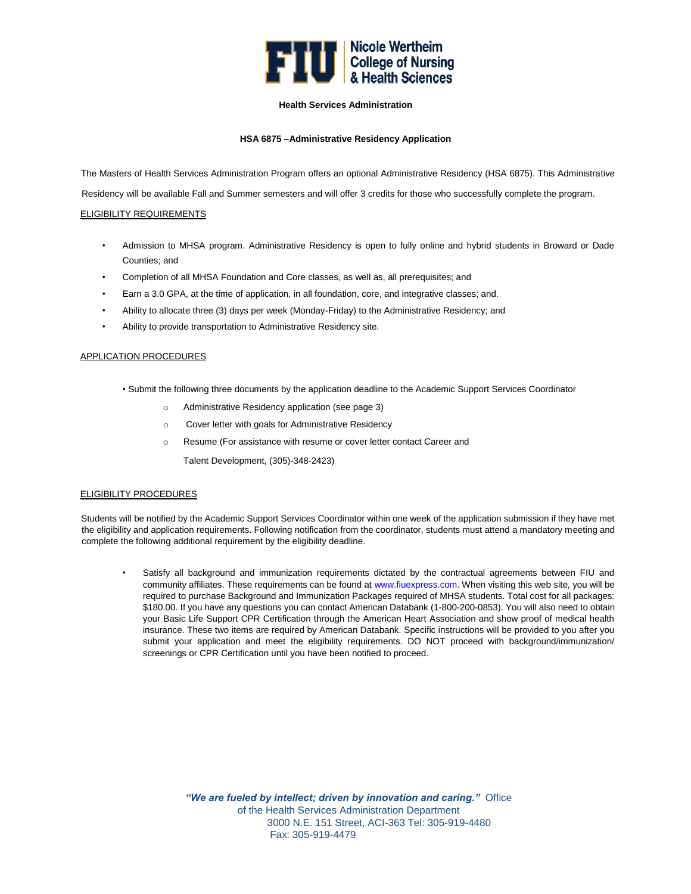

# **Health Services Administration**

# **HSA 6875 –Administrative Residency Application**

The Masters of Health Services Administration Program offers an optional Administrative Residency (HSA 6875). This Administrative

Residency will be available Fall and Summer semesters and will offer 3 credits for those who successfully complete the program.

# ELIGIBILITY REQUIREMENTS

- Admission to MHSA program. Administrative Residency is open to fully online and hybrid students in Broward or Dade Counties; and
- Completion of all MHSA Foundation and Core classes, as well as, all prerequisites; and
- Earn a 3.0 GPA, at the time of application, in all foundation, core, and integrative classes; and.
- Ability to allocate three (3) days per week (Monday-Friday) to the Administrative Residency; and
- Ability to provide transportation to Administrative Residency site.

# APPLICATION PROCEDURES

- Submit the following three documents by the application deadline to the Academic Support Services Coordinator
	- o Administrative Residency application (see page 3)
	- o Cover letter with goals for Administrative Residency
	- o Resume (For assistance with resume or cover letter contact Career and
		- Talent Development, (305)-348-2423)

## ELIGIBILITY PROCEDURES

Students will be notified by the Academic Support Services Coordinator within one week of the application submission if they have met the eligibility and application requirements. Following notification from the coordinator, students must attend a mandatory meeting and complete the following additional requirement by the eligibility deadline.

• Satisfy all background and immunization requirements dictated by the contractual agreements between FIU and community affiliates. These requirements can be found at www.fiuexpress.com. When visiting this web site, you will be required to purchase Background and Immunization Packages required of MHSA students. Total cost for all packages: \$180.00. If you have any questions you can contact American Databank (1-800-200-0853). You will also need to obtain your Basic Life Support CPR Certification through the American Heart Association and show proof of medical health insurance. These two items are required by American Databank. Specific instructions will be provided to you after you submit your application and meet the eligibility requirements. DO NOT proceed with background/immunization/ screenings or CPR Certification until you have been notified to proceed.

> *"We are fueled by intellect; driven by innovation and caring."* Office of the Health Services Administration Department 3000 N.E. 151 Street, ACI-363 Tel: 305-919-4480 Fax: 305-919-4479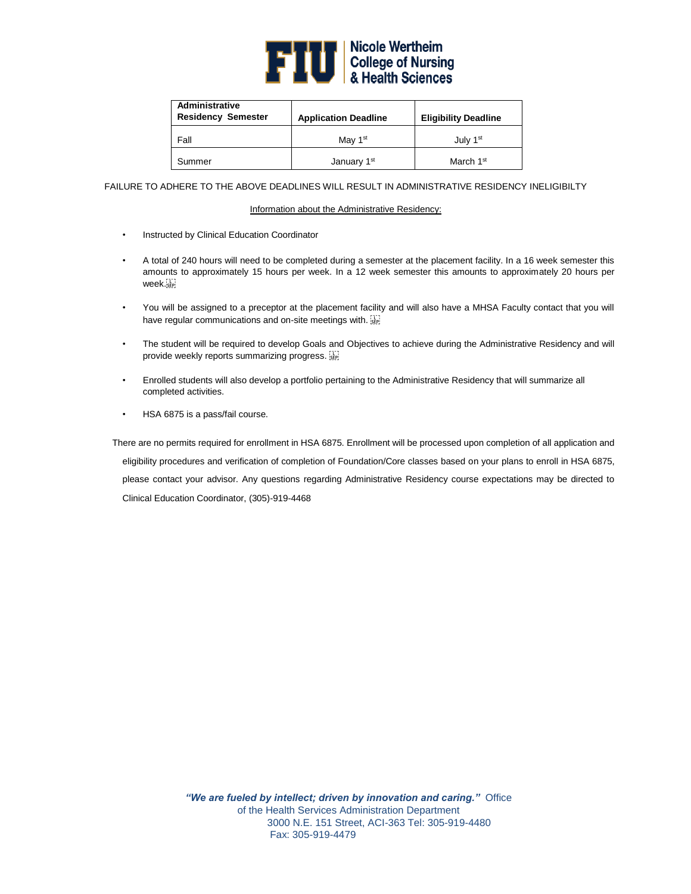

| Administrative<br><b>Residency Semester</b> | <b>Application Deadline</b> | <b>Eligibility Deadline</b> |
|---------------------------------------------|-----------------------------|-----------------------------|
| Fall                                        | Mav 1 <sup>st</sup>         | July 1 <sup>st</sup>        |
| Summer                                      | January 1 <sup>st</sup>     | March 1 <sup>st</sup>       |

FAILURE TO ADHERE TO THE ABOVE DEADLINES WILL RESULT IN ADMINISTRATIVE RESIDENCY INELIGIBILTY

#### Information about the Administrative Residency:

- Instructed by Clinical Education Coordinator
- A total of 240 hours will need to be completed during a semester at the placement facility. In a 16 week semester this amounts to approximately 15 hours per week. In a 12 week semester this amounts to approximately 20 hours per week.
- You will be assigned to a preceptor at the placement facility and will also have a MHSA Faculty contact that you will have regular communications and on-site meetings with.
- The student will be required to develop Goals and Objectives to achieve during the Administrative Residency and will provide weekly reports summarizing progress.
- Enrolled students will also develop a portfolio pertaining to the Administrative Residency that will summarize all completed activities.
- HSA 6875 is a pass/fail course.

 There are no permits required for enrollment in HSA 6875. Enrollment will be processed upon completion of all application and eligibility procedures and verification of completion of Foundation/Core classes based on your plans to enroll in HSA 6875, please contact your advisor. Any questions regarding Administrative Residency course expectations may be directed to Clinical Education Coordinator, (305)-919-4468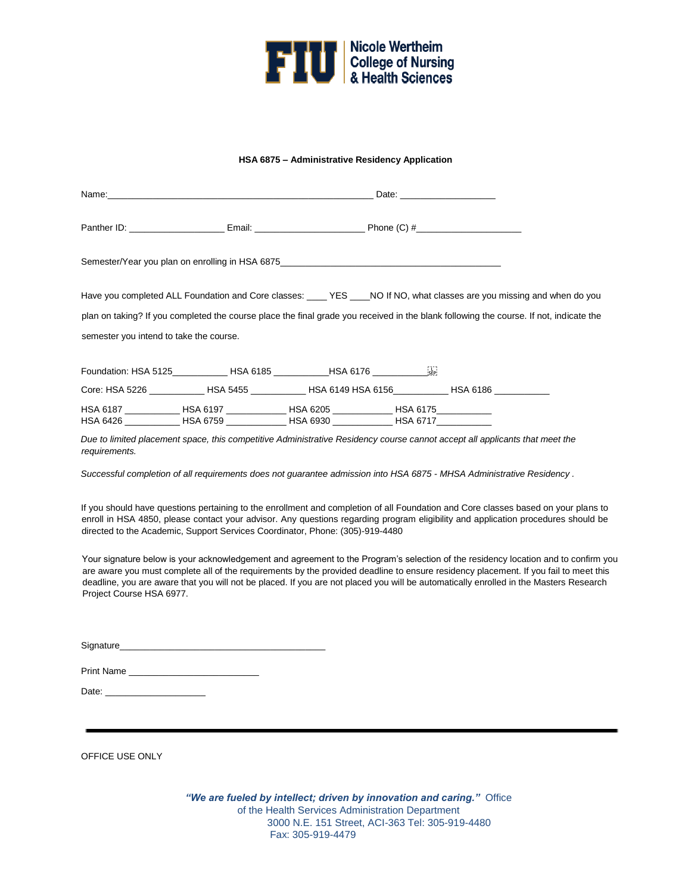

## **HSA 6875 – Administrative Residency Application**

|                                         |                                                                                                                                        | Date: the contract of the contract of the contract of the contract of the contract of the contract of the contract of the contract of the contract of the contract of the contract of the contract of the contract of the cont |  |
|-----------------------------------------|----------------------------------------------------------------------------------------------------------------------------------------|--------------------------------------------------------------------------------------------------------------------------------------------------------------------------------------------------------------------------------|--|
|                                         | Panther ID: ________________________Email: ____________________________Phone (C) #____________________________                         |                                                                                                                                                                                                                                |  |
|                                         | Semester/Year you plan on enrolling in HSA 6875__________________________________                                                      |                                                                                                                                                                                                                                |  |
|                                         | Have you completed ALL Foundation and Core classes: _____ YES ____ NO If NO, what classes are you missing and when do you              |                                                                                                                                                                                                                                |  |
|                                         | plan on taking? If you completed the course place the final grade you received in the blank following the course. If not, indicate the |                                                                                                                                                                                                                                |  |
| semester you intend to take the course. |                                                                                                                                        |                                                                                                                                                                                                                                |  |
|                                         | Foundation: HSA 5125 HSA 6185 HSA 6176 HSA 6176                                                                                        |                                                                                                                                                                                                                                |  |
|                                         | Core: HSA 5226 _____________HSA 5455 ___________HSA 6149 HSA 6156 _____________HSA 6186 ___________                                    |                                                                                                                                                                                                                                |  |
|                                         | HSA 6187 ______________HSA 6197 _______________HSA 6205 ______________HSA 6175_____________                                            |                                                                                                                                                                                                                                |  |

*Due to limited placement space, this competitive Administrative Residency course cannot accept all applicants that meet the requirements.* 

HSA 6426 \_\_\_\_\_\_\_\_\_\_\_ HSA 6759 \_\_\_\_\_\_\_\_\_\_\_\_ HSA 6930 \_\_\_\_\_\_\_\_\_\_\_\_ HSA 6717\_\_\_\_\_\_\_\_\_\_\_

*Successful completion of all requirements does not guarantee admission into HSA 6875 - MHSA Administrative Residency .* 

If you should have questions pertaining to the enrollment and completion of all Foundation and Core classes based on your plans to enroll in HSA 4850, please contact your advisor. Any questions regarding program eligibility and application procedures should be directed to the Academic, Support Services Coordinator, Phone: (305)-919-4480

Your signature below is your acknowledgement and agreement to the Program's selection of the residency location and to confirm you are aware you must complete all of the requirements by the provided deadline to ensure residency placement. If you fail to meet this deadline, you are aware that you will not be placed. If you are not placed you will be automatically enrolled in the Masters Research Project Course HSA 6977.

Signature\_

| <b>Print Name</b> |  |
|-------------------|--|
|                   |  |

Date:

OFFICE USE ONLY

*"We are fueled by intellect; driven by innovation and caring."* Office of the Health Services Administration Department 3000 N.E. 151 Street, ACI-363 Tel: 305-919-4480 Fax: 305-919-4479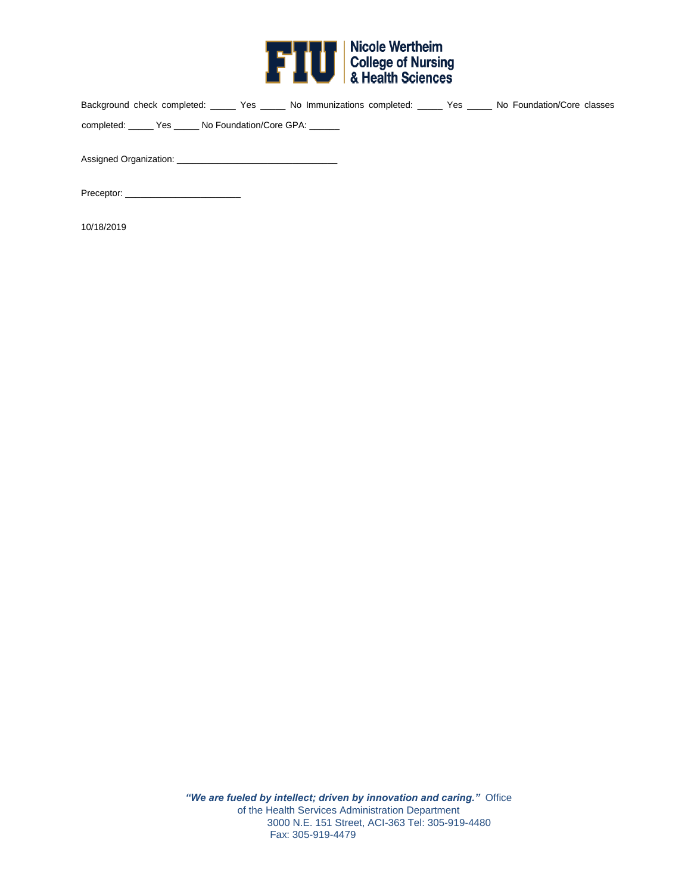

| Background check completed: ______ Yes _____ No Immunizations completed: _____ Yes _____ No Foundation/Core classes |  |  |  |  |  |
|---------------------------------------------------------------------------------------------------------------------|--|--|--|--|--|
| completed: Yes No Foundation/Core GPA:                                                                              |  |  |  |  |  |
|                                                                                                                     |  |  |  |  |  |
| Assigned Organization: Assigned Organization:                                                                       |  |  |  |  |  |

Preceptor: \_\_\_\_\_\_\_\_\_\_\_\_\_\_\_\_\_\_\_\_\_\_\_

10/18/2019